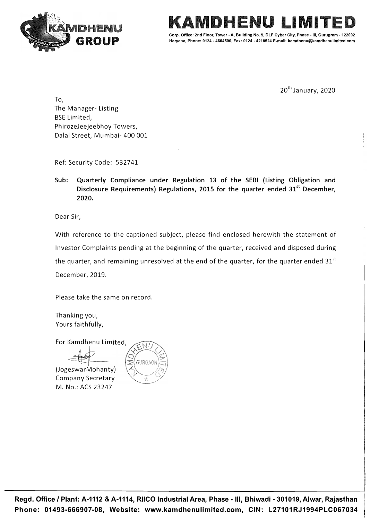

LIMITEI **Corp. Office: 2nd Floor, Tower -A, Building No. 9, DLF Cyber City, Phase - Ill, Gurugram - 122002** 

**Haryana, Phone: 0124 - 4604500, Fax: 0124 - 4218524 E-mail: kamdhenu@kamdhenulimited.com** 

20<sup>th</sup> January, 2020

To, The Manager- Listing BSE Limited, PhirozeJeejeebhoy Towers, Dalal Street, Mumbai- 400 001

Ref: Security Code: 532741

**Sub: Quarterly Compliance under Regulation 13 of the SEBI (Listing Obligation and Disclosure Requirements) Regulations, 2015 for the quarter ended 31st December, 2020.** 

Dear Sir,

With reference to the captioned subject, please find enclosed herewith the statement of Investor Complaints pending at the beginning of the quarter, received and disposed during the quarter, and remaining unresolved at the end of the quarter, for the quarter ended  $31<sup>st</sup>$ December, 2019.

Please take the same on record.

Thanking you, Yours faithfully,

For Kamdhenu Limited,

(JogeswarMohanty) Company Secretary M. No.: ACS 23247